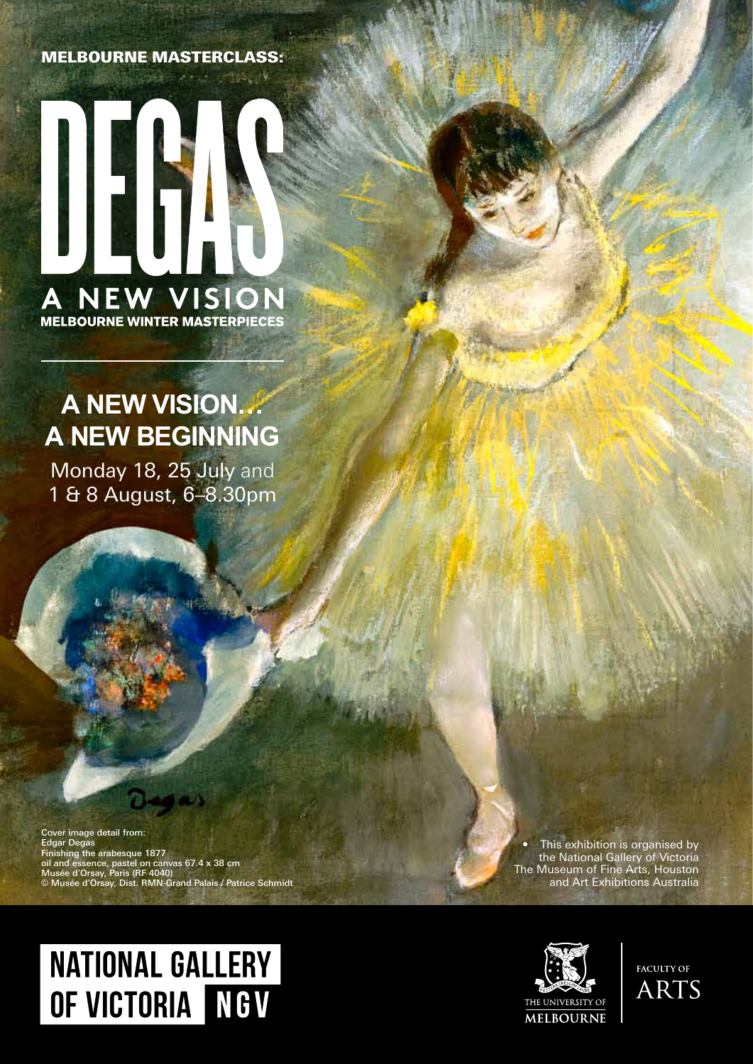#### MELBOURNE MASTERCLASS:



## **A NEW VISION… A NEW BEGINNING**

Monday 18, 25 July and 1 & 8 August, 6–8.30pm

Cover image detail from: Edgar Degas Finishing the arabesque 1877 oil and essence, pastel on canvas 67.4 x 38 cm Musée d'Orsay, Paris (RF 4040) © Musée d'Orsay, Dist. RMN-Grand Palais / Patrice Schmidt

• This exhibition is organised by the National Gallery of Victoria The Museum of Fine Arts, Houston and Art Exhibitions Australia

# **NATIONAL GALLERY** OF VICTORIA NGV



**FACULTY OF ARTS**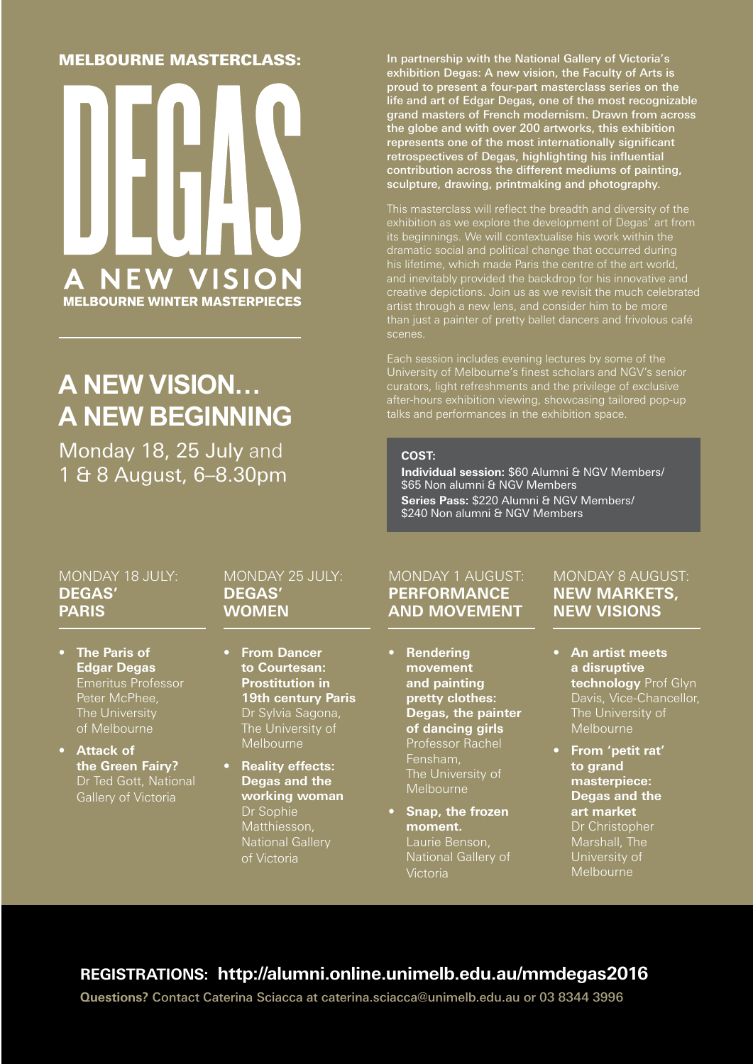#### MELBOURNE MASTERCLASS:



## **A NEW VISION… A NEW BEGINNING**

Monday 18, 25 July and 1 & 8 August, 6–8.30pm In partnership with the National Gallery of Victoria's exhibition Degas: A new vision, the Faculty of Arts is proud to present a four-part masterclass series on the life and art of Edgar Degas, one of the most recognizable grand masters of French modernism. Drawn from across the globe and with over 200 artworks, this exhibition represents one of the most internationally significant retrospectives of Degas, highlighting his influential contribution across the different mediums of painting, sculpture, drawing, printmaking and photography.

This masterclass will reflect the breadth and diversity of the exhibition as we explore the development of Degas' art from its beginnings. We will contextualise his work within the dramatic social and political change that occurred during his lifetime, which made Paris the centre of the art world, and inevitably provided the backdrop for his innovative and artist through a new lens, and consider him to be more scenes.

Each session includes evening lectures by some of the University of Melbourne's finest scholars and NGV's senior curators, light refreshments and the privilege of exclusive after-hours exhibition viewing, showcasing tailored pop-up

#### **COST:**

**Individual session:** \$60 Alumni & NGV Members/ \$65 Non alumni & NGV Members Series Pass: \$220 Alumni & NGV Members/ \$240 Non alumni & NGV Members

#### MONDAY 18 JULY: **DEGAS' PARIS**

- **• The Paris of Edgar Degas**  Emeritus Professor Peter McPhee, The University of Melbourne
- **• Attack of the Green Fairy?**  Dr Ted Gott, National Gallery of Victoria

#### MONDAY 25 JULY: **DEGAS' WOMEN**

- **• From Dancer to Courtesan: Prostitution in 19th century Paris**  Dr Sylvia Sagona, The University of Melbourne
- **• Reality effects: Degas and the working woman**  Dr Sophie Matthiesson, National Gallery of Victoria

#### MONDAY 1 AUGUST: **PERFORMANCE AND MOVEMENT**

- **• Rendering movement and painting pretty clothes: Degas, the painter of dancing girls**  Professor Rachel Fensham, **Melbourne**
- **• Snap, the frozen moment.** Laurie Benson, National Gallery of **Victoria**

#### MONDAY 8 AUGUST: **NEW MARKETS, NEW VISIONS**

- **• An artist meets a disruptive technology** Prof Glyn Davis, Vice-Chancellor, The University of Melbourne
- **• From 'petit rat' to grand masterpiece: Degas and the art market** Dr Christopher Marshall, The University of Melbourne

## **REGISTRATIONS: http://alumni.online.unimelb.edu.au/mmdegas2016**

**Questions?** Contact Caterina Sciacca at caterina.sciacca@unimelb.edu.au or 03 8344 3996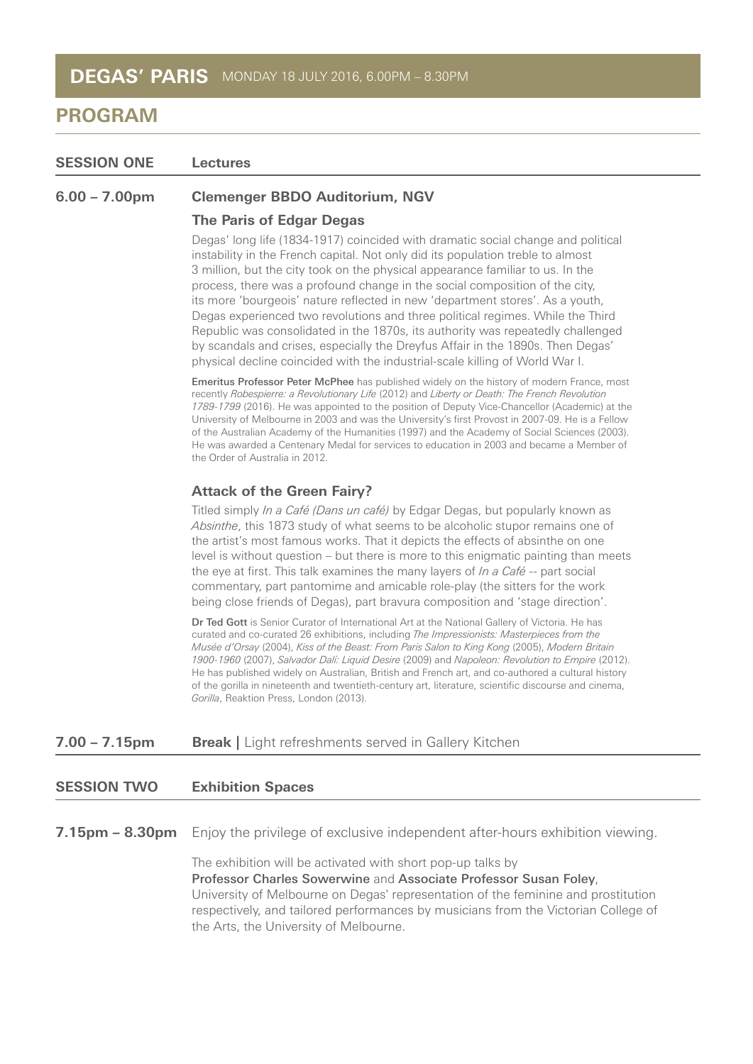**SESSION ONE Lectures**

**6.00 – 7.00pm Clemenger BBDO Auditorium, NGV**

## **The Paris of Edgar Degas**

Degas' long life (1834-1917) coincided with dramatic social change and political instability in the French capital. Not only did its population treble to almost 3 million, but the city took on the physical appearance familiar to us. In the process, there was a profound change in the social composition of the city, its more 'bourgeois' nature reflected in new 'department stores'. As a youth, Degas experienced two revolutions and three political regimes. While the Third Republic was consolidated in the 1870s, its authority was repeatedly challenged by scandals and crises, especially the Dreyfus Affair in the 1890s. Then Degas' physical decline coincided with the industrial-scale killing of World War I.

Emeritus Professor Peter McPhee has published widely on the history of modern France, most recently Robespierre: a Revolutionary Life (2012) and Liberty or Death: The French Revolution 1789-1799 (2016). He was appointed to the position of Deputy Vice-Chancellor (Academic) at the University of Melbourne in 2003 and was the University's first Provost in 2007-09. He is a Fellow of the Australian Academy of the Humanities (1997) and the Academy of Social Sciences (2003). He was awarded a Centenary Medal for services to education in 2003 and became a Member of the Order of Australia in 2012.

#### **Attack of the Green Fairy?**

Titled simply *In a Café (Dans un café)* by Edgar Degas, but popularly known as Absinthe, this 1873 study of what seems to be alcoholic stupor remains one of the artist's most famous works. That it depicts the effects of absinthe on one level is without question – but there is more to this enigmatic painting than meets the eye at first. This talk examines the many layers of  $\ln a$  Café -- part social commentary, part pantomime and amicable role-play (the sitters for the work being close friends of Degas), part bravura composition and 'stage direction'.

Dr Ted Gott is Senior Curator of International Art at the National Gallery of Victoria. He has curated and co-curated 26 exhibitions, including The Impressionists: Masterpieces from the Musée d'Orsay (2004), Kiss of the Beast: From Paris Salon to King Kong (2005), Modern Britain 1900-1960 (2007), Salvador Dalí: Liquid Desire (2009) and Napoleon: Revolution to Empire (2012). He has published widely on Australian, British and French art, and co-authored a cultural history of the gorilla in nineteenth and twentieth-century art, literature, scientific discourse and cinema, Gorilla, Reaktion Press, London (2013).

#### **7.00 – 7.15pm Break | Light refreshments served in Gallery Kitchen**

#### **SESSION TWO Exhibition Spaces**

**7.15pm – 8.30pm** Enjoy the privilege of exclusive independent after-hours exhibition viewing.

The exhibition will be activated with short pop-up talks by Professor Charles Sowerwine and Associate Professor Susan Foley, University of Melbourne on Degas' representation of the feminine and prostitution respectively, and tailored performances by musicians from the Victorian College of the Arts, the University of Melbourne.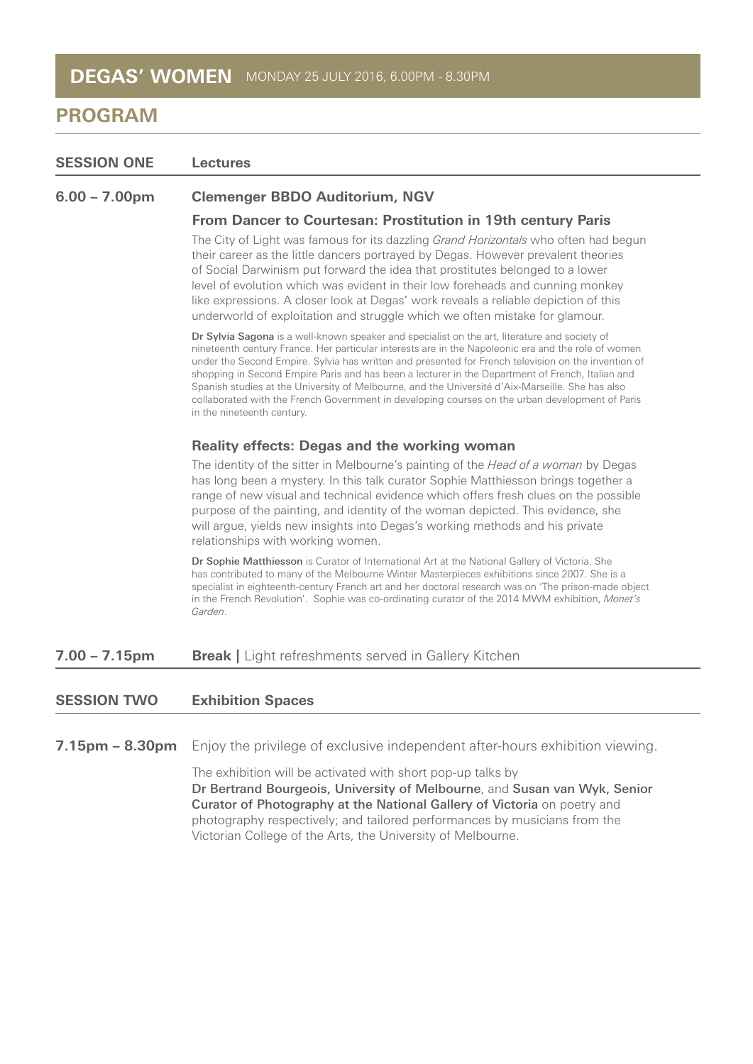| <b>SESSION ONE</b> | <b>Lectures</b>                                                                                                                                                                                                                                                                                                                                                                                                                                                                                                                                                                                                                                      |
|--------------------|------------------------------------------------------------------------------------------------------------------------------------------------------------------------------------------------------------------------------------------------------------------------------------------------------------------------------------------------------------------------------------------------------------------------------------------------------------------------------------------------------------------------------------------------------------------------------------------------------------------------------------------------------|
| $6.00 - 7.00$ pm   | <b>Clemenger BBDO Auditorium, NGV</b>                                                                                                                                                                                                                                                                                                                                                                                                                                                                                                                                                                                                                |
|                    | From Dancer to Courtesan: Prostitution in 19th century Paris                                                                                                                                                                                                                                                                                                                                                                                                                                                                                                                                                                                         |
|                    | The City of Light was famous for its dazzling <i>Grand Horizontals</i> who often had begun<br>their career as the little dancers portrayed by Degas. However prevalent theories<br>of Social Darwinism put forward the idea that prostitutes belonged to a lower<br>level of evolution which was evident in their low foreheads and cunning monkey<br>like expressions. A closer look at Degas' work reveals a reliable depiction of this<br>underworld of exploitation and struggle which we often mistake for glamour.                                                                                                                             |
|                    | Dr Sylvia Sagona is a well-known speaker and specialist on the art, literature and society of<br>nineteenth century France. Her particular interests are in the Napoleonic era and the role of women<br>under the Second Empire. Sylvia has written and presented for French television on the invention of<br>shopping in Second Empire Paris and has been a lecturer in the Department of French, Italian and<br>Spanish studies at the University of Melbourne, and the Université d'Aix-Marseille. She has also<br>collaborated with the French Government in developing courses on the urban development of Paris<br>in the nineteenth century. |
|                    | <b>Reality effects: Degas and the working woman</b>                                                                                                                                                                                                                                                                                                                                                                                                                                                                                                                                                                                                  |
|                    | The identity of the sitter in Melbourne's painting of the Head of a woman by Degas<br>has long been a mystery. In this talk curator Sophie Matthiesson brings together a<br>range of new visual and technical evidence which offers fresh clues on the possible<br>purpose of the painting, and identity of the woman depicted. This evidence, she<br>will argue, yields new insights into Degas's working methods and his private<br>relationships with working women.                                                                                                                                                                              |
|                    | Dr Sophie Matthiesson is Curator of International Art at the National Gallery of Victoria. She<br>has contributed to many of the Melbourne Winter Masterpieces exhibitions since 2007. She is a<br>specialist in eighteenth-century French art and her doctoral research was on 'The prison-made object<br>in the French Revolution'. Sophie was co-ordinating curator of the 2014 MWM exhibition, Monet's<br>Garden.                                                                                                                                                                                                                                |
| $7.00 - 7.15$ pm   | <b>Break</b>   Light refreshments served in Gallery Kitchen                                                                                                                                                                                                                                                                                                                                                                                                                                                                                                                                                                                          |

### **SESSION TWO Exhibition Spaces**

**7.15pm – 8.30pm** Enjoy the privilege of exclusive independent after-hours exhibition viewing.

The exhibition will be activated with short pop-up talks by Dr Bertrand Bourgeois, University of Melbourne, and Susan van Wyk, Senior Curator of Photography at the National Gallery of Victoria on poetry and photography respectively; and tailored performances by musicians from the Victorian College of the Arts, the University of Melbourne.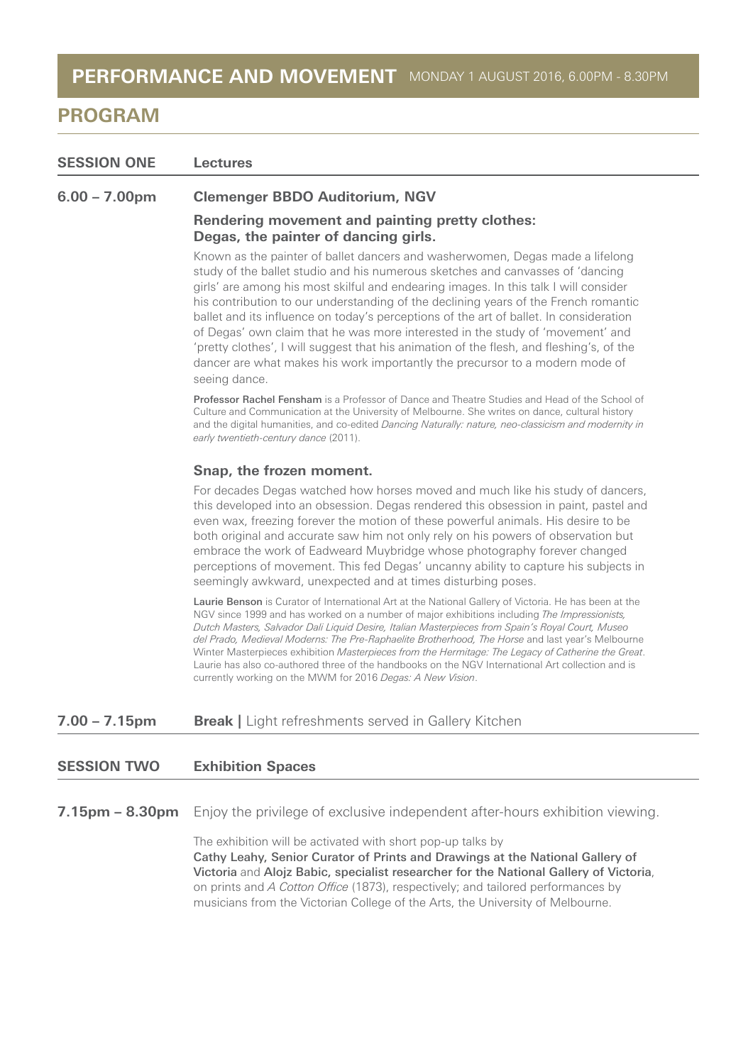| <b>SESSION ONE</b> | Lectures                                                                                                                                                                                                                                                                                                                                                                                                                                                                                                                                                                                                                                                                                                                |
|--------------------|-------------------------------------------------------------------------------------------------------------------------------------------------------------------------------------------------------------------------------------------------------------------------------------------------------------------------------------------------------------------------------------------------------------------------------------------------------------------------------------------------------------------------------------------------------------------------------------------------------------------------------------------------------------------------------------------------------------------------|
| $6.00 - 7.00$ pm   | <b>Clemenger BBDO Auditorium, NGV</b>                                                                                                                                                                                                                                                                                                                                                                                                                                                                                                                                                                                                                                                                                   |
|                    | Rendering movement and painting pretty clothes:<br>Degas, the painter of dancing girls.                                                                                                                                                                                                                                                                                                                                                                                                                                                                                                                                                                                                                                 |
|                    | Known as the painter of ballet dancers and washerwomen, Degas made a lifelong<br>study of the ballet studio and his numerous sketches and canvasses of 'dancing<br>girls' are among his most skilful and endearing images. In this talk I will consider<br>his contribution to our understanding of the declining years of the French romantic<br>ballet and its influence on today's perceptions of the art of ballet. In consideration<br>of Degas' own claim that he was more interested in the study of 'movement' and<br>'pretty clothes', I will suggest that his animation of the flesh, and fleshing's, of the<br>dancer are what makes his work importantly the precursor to a modern mode of<br>seeing dance. |
|                    | <b>Professor Rachel Fensham</b> is a Professor of Dance and Theatre Studies and Head of the School of<br>Culture and Communication at the University of Melbourne. She writes on dance, cultural history<br>and the digital humanities, and co-edited Dancing Naturally: nature, neo-classicism and modernity in<br>early twentieth-century dance (2011).                                                                                                                                                                                                                                                                                                                                                               |
|                    | Snap, the frozen moment.                                                                                                                                                                                                                                                                                                                                                                                                                                                                                                                                                                                                                                                                                                |
|                    | For decades Degas watched how horses moved and much like his study of dancers,<br>this developed into an obsession. Degas rendered this obsession in paint, pastel and<br>even wax, freezing forever the motion of these powerful animals. His desire to be<br>both original and accurate saw him not only rely on his powers of observation but<br>embrace the work of Eadweard Muybridge whose photography forever changed<br>perceptions of movement. This fed Degas' uncanny ability to capture his subjects in<br>seemingly awkward, unexpected and at times disturbing poses.                                                                                                                                     |
|                    | <b>Laurie Benson</b> is Curator of International Art at the National Gallery of Victoria. He has been at the<br>NGV since 1999 and has worked on a number of major exhibitions including The Impressionists,<br>Dutch Masters, Salvador Dali Liquid Desire, Italian Masterpieces from Spain's Royal Court, Museo<br>del Prado, Medieval Moderns: The Pre-Raphaelite Brotherhood, The Horse and last year's Melbourne<br>Winter Masterpieces exhibition Masterpieces from the Hermitage: The Legacy of Catherine the Great.<br>Laurie has also co-authored three of the handbooks on the NGV International Art collection and is<br>currently working on the MWM for 2016 Degas: A New Vision.                           |
| $7.00 - 7.15$ pm   | <b>Break</b>   Light refreshments served in Gallery Kitchen                                                                                                                                                                                                                                                                                                                                                                                                                                                                                                                                                                                                                                                             |
| <b>SESSION TWO</b> | <b>Exhibition Spaces</b>                                                                                                                                                                                                                                                                                                                                                                                                                                                                                                                                                                                                                                                                                                |

**7.15pm – 8.30pm** Enjoy the privilege of exclusive independent after-hours exhibition viewing.

The exhibition will be activated with short pop-up talks by Cathy Leahy, Senior Curator of Prints and Drawings at the National Gallery of Victoria and Alojz Babic, specialist researcher for the National Gallery of Victoria, on prints and A Cotton Office (1873), respectively; and tailored performances by musicians from the Victorian College of the Arts, the University of Melbourne.